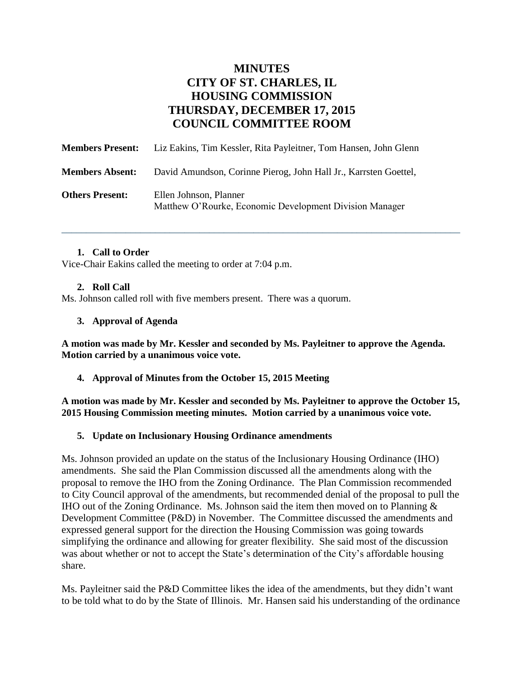# **MINUTES CITY OF ST. CHARLES, IL HOUSING COMMISSION THURSDAY, DECEMBER 17, 2015 COUNCIL COMMITTEE ROOM**

\_\_\_\_\_\_\_\_\_\_\_\_\_\_\_\_\_\_\_\_\_\_\_\_\_\_\_\_\_\_\_\_\_\_\_\_\_\_\_\_\_\_\_\_\_\_\_\_\_\_\_\_\_\_\_\_\_\_\_\_\_\_\_\_\_\_\_\_\_\_\_\_\_\_\_\_\_\_\_\_\_

| <b>Members Present:</b> | Liz Eakins, Tim Kessler, Rita Payleitner, Tom Hansen, John Glenn                  |
|-------------------------|-----------------------------------------------------------------------------------|
| <b>Members Absent:</b>  | David Amundson, Corinne Pierog, John Hall Jr., Karrsten Goettel,                  |
| <b>Others Present:</b>  | Ellen Johnson, Planner<br>Matthew O'Rourke, Economic Development Division Manager |

## **1. Call to Order**

Vice-Chair Eakins called the meeting to order at 7:04 p.m.

### **2. Roll Call**

Ms. Johnson called roll with five members present. There was a quorum.

### **3. Approval of Agenda**

**A motion was made by Mr. Kessler and seconded by Ms. Payleitner to approve the Agenda. Motion carried by a unanimous voice vote.** 

**4. Approval of Minutes from the October 15, 2015 Meeting** 

**A motion was made by Mr. Kessler and seconded by Ms. Payleitner to approve the October 15, 2015 Housing Commission meeting minutes. Motion carried by a unanimous voice vote.**

### **5. Update on Inclusionary Housing Ordinance amendments**

Ms. Johnson provided an update on the status of the Inclusionary Housing Ordinance (IHO) amendments. She said the Plan Commission discussed all the amendments along with the proposal to remove the IHO from the Zoning Ordinance. The Plan Commission recommended to City Council approval of the amendments, but recommended denial of the proposal to pull the IHO out of the Zoning Ordinance. Ms. Johnson said the item then moved on to Planning  $\&$ Development Committee (P&D) in November. The Committee discussed the amendments and expressed general support for the direction the Housing Commission was going towards simplifying the ordinance and allowing for greater flexibility. She said most of the discussion was about whether or not to accept the State's determination of the City's affordable housing share.

Ms. Payleitner said the P&D Committee likes the idea of the amendments, but they didn't want to be told what to do by the State of Illinois. Mr. Hansen said his understanding of the ordinance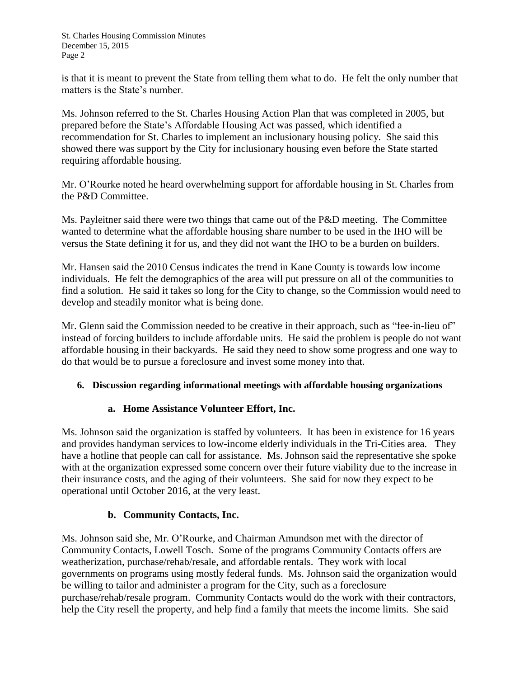is that it is meant to prevent the State from telling them what to do. He felt the only number that matters is the State's number.

Ms. Johnson referred to the St. Charles Housing Action Plan that was completed in 2005, but prepared before the State's Affordable Housing Act was passed, which identified a recommendation for St. Charles to implement an inclusionary housing policy. She said this showed there was support by the City for inclusionary housing even before the State started requiring affordable housing.

Mr. O'Rourke noted he heard overwhelming support for affordable housing in St. Charles from the P&D Committee.

Ms. Payleitner said there were two things that came out of the P&D meeting. The Committee wanted to determine what the affordable housing share number to be used in the IHO will be versus the State defining it for us, and they did not want the IHO to be a burden on builders.

Mr. Hansen said the 2010 Census indicates the trend in Kane County is towards low income individuals. He felt the demographics of the area will put pressure on all of the communities to find a solution. He said it takes so long for the City to change, so the Commission would need to develop and steadily monitor what is being done.

Mr. Glenn said the Commission needed to be creative in their approach, such as "fee-in-lieu of" instead of forcing builders to include affordable units. He said the problem is people do not want affordable housing in their backyards. He said they need to show some progress and one way to do that would be to pursue a foreclosure and invest some money into that.

## **6. Discussion regarding informational meetings with affordable housing organizations**

## **a. Home Assistance Volunteer Effort, Inc.**

Ms. Johnson said the organization is staffed by volunteers. It has been in existence for 16 years and provides handyman services to low-income elderly individuals in the Tri-Cities area. They have a hotline that people can call for assistance. Ms. Johnson said the representative she spoke with at the organization expressed some concern over their future viability due to the increase in their insurance costs, and the aging of their volunteers. She said for now they expect to be operational until October 2016, at the very least.

## **b. Community Contacts, Inc.**

Ms. Johnson said she, Mr. O'Rourke, and Chairman Amundson met with the director of Community Contacts, Lowell Tosch. Some of the programs Community Contacts offers are weatherization, purchase/rehab/resale, and affordable rentals. They work with local governments on programs using mostly federal funds. Ms. Johnson said the organization would be willing to tailor and administer a program for the City, such as a foreclosure purchase/rehab/resale program. Community Contacts would do the work with their contractors, help the City resell the property, and help find a family that meets the income limits. She said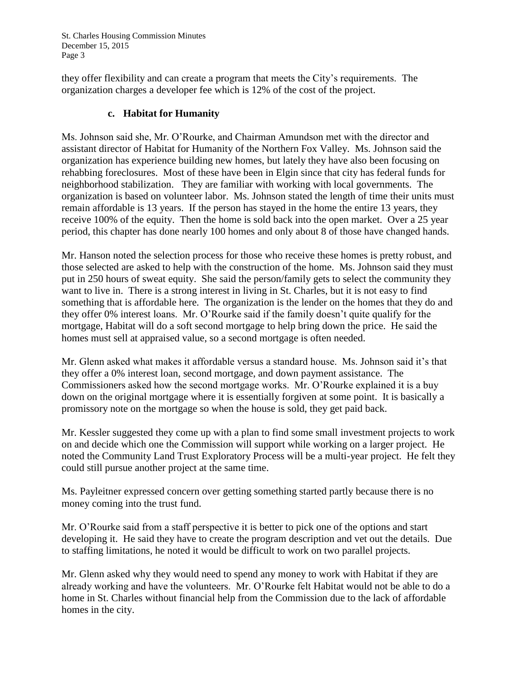they offer flexibility and can create a program that meets the City's requirements. The organization charges a developer fee which is 12% of the cost of the project.

## **c. Habitat for Humanity**

Ms. Johnson said she, Mr. O'Rourke, and Chairman Amundson met with the director and assistant director of Habitat for Humanity of the Northern Fox Valley. Ms. Johnson said the organization has experience building new homes, but lately they have also been focusing on rehabbing foreclosures. Most of these have been in Elgin since that city has federal funds for neighborhood stabilization. They are familiar with working with local governments. The organization is based on volunteer labor. Ms. Johnson stated the length of time their units must remain affordable is 13 years. If the person has stayed in the home the entire 13 years, they receive 100% of the equity. Then the home is sold back into the open market. Over a 25 year period, this chapter has done nearly 100 homes and only about 8 of those have changed hands.

Mr. Hanson noted the selection process for those who receive these homes is pretty robust, and those selected are asked to help with the construction of the home. Ms. Johnson said they must put in 250 hours of sweat equity. She said the person/family gets to select the community they want to live in. There is a strong interest in living in St. Charles, but it is not easy to find something that is affordable here. The organization is the lender on the homes that they do and they offer 0% interest loans. Mr. O'Rourke said if the family doesn't quite qualify for the mortgage, Habitat will do a soft second mortgage to help bring down the price. He said the homes must sell at appraised value, so a second mortgage is often needed.

Mr. Glenn asked what makes it affordable versus a standard house. Ms. Johnson said it's that they offer a 0% interest loan, second mortgage, and down payment assistance. The Commissioners asked how the second mortgage works. Mr. O'Rourke explained it is a buy down on the original mortgage where it is essentially forgiven at some point. It is basically a promissory note on the mortgage so when the house is sold, they get paid back.

Mr. Kessler suggested they come up with a plan to find some small investment projects to work on and decide which one the Commission will support while working on a larger project. He noted the Community Land Trust Exploratory Process will be a multi-year project. He felt they could still pursue another project at the same time.

Ms. Payleitner expressed concern over getting something started partly because there is no money coming into the trust fund.

Mr. O'Rourke said from a staff perspective it is better to pick one of the options and start developing it. He said they have to create the program description and vet out the details. Due to staffing limitations, he noted it would be difficult to work on two parallel projects.

Mr. Glenn asked why they would need to spend any money to work with Habitat if they are already working and have the volunteers. Mr. O'Rourke felt Habitat would not be able to do a home in St. Charles without financial help from the Commission due to the lack of affordable homes in the city.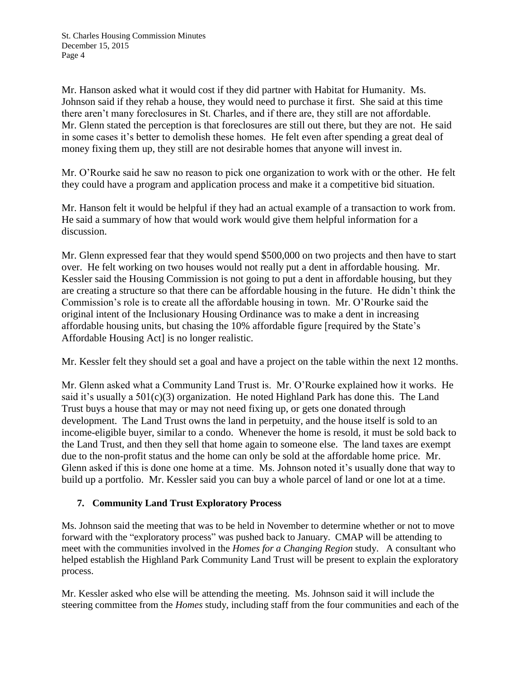Mr. Hanson asked what it would cost if they did partner with Habitat for Humanity. Ms. Johnson said if they rehab a house, they would need to purchase it first. She said at this time there aren't many foreclosures in St. Charles, and if there are, they still are not affordable. Mr. Glenn stated the perception is that foreclosures are still out there, but they are not. He said in some cases it's better to demolish these homes. He felt even after spending a great deal of money fixing them up, they still are not desirable homes that anyone will invest in.

Mr. O'Rourke said he saw no reason to pick one organization to work with or the other. He felt they could have a program and application process and make it a competitive bid situation.

Mr. Hanson felt it would be helpful if they had an actual example of a transaction to work from. He said a summary of how that would work would give them helpful information for a discussion.

Mr. Glenn expressed fear that they would spend \$500,000 on two projects and then have to start over. He felt working on two houses would not really put a dent in affordable housing. Mr. Kessler said the Housing Commission is not going to put a dent in affordable housing, but they are creating a structure so that there can be affordable housing in the future. He didn't think the Commission's role is to create all the affordable housing in town. Mr. O'Rourke said the original intent of the Inclusionary Housing Ordinance was to make a dent in increasing affordable housing units, but chasing the 10% affordable figure [required by the State's Affordable Housing Act] is no longer realistic.

Mr. Kessler felt they should set a goal and have a project on the table within the next 12 months.

Mr. Glenn asked what a Community Land Trust is. Mr. O'Rourke explained how it works. He said it's usually a 501(c)(3) organization. He noted Highland Park has done this. The Land Trust buys a house that may or may not need fixing up, or gets one donated through development. The Land Trust owns the land in perpetuity, and the house itself is sold to an income-eligible buyer, similar to a condo. Whenever the home is resold, it must be sold back to the Land Trust, and then they sell that home again to someone else. The land taxes are exempt due to the non-profit status and the home can only be sold at the affordable home price. Mr. Glenn asked if this is done one home at a time. Ms. Johnson noted it's usually done that way to build up a portfolio. Mr. Kessler said you can buy a whole parcel of land or one lot at a time.

## **7. Community Land Trust Exploratory Process**

Ms. Johnson said the meeting that was to be held in November to determine whether or not to move forward with the "exploratory process" was pushed back to January. CMAP will be attending to meet with the communities involved in the *Homes for a Changing Region* study. A consultant who helped establish the Highland Park Community Land Trust will be present to explain the exploratory process.

Mr. Kessler asked who else will be attending the meeting. Ms. Johnson said it will include the steering committee from the *Homes* study, including staff from the four communities and each of the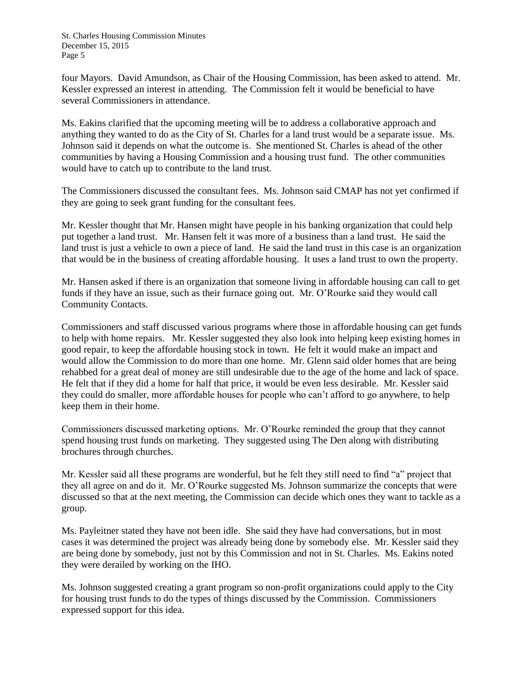four Mayors. David Amundson, as Chair of the Housing Commission, has been asked to attend. Mr. Kessler expressed an interest in attending. The Commission felt it would be beneficial to have several Commissioners in attendance.

Ms. Eakins clarified that the upcoming meeting will be to address a collaborative approach and anything they wanted to do as the City of St. Charles for a land trust would be a separate issue. Ms. Johnson said it depends on what the outcome is. She mentioned St. Charles is ahead of the other communities by having a Housing Commission and a housing trust fund. The other communities would have to catch up to contribute to the land trust.

The Commissioners discussed the consultant fees. Ms. Johnson said CMAP has not yet confirmed if they are going to seek grant funding for the consultant fees.

Mr. Kessler thought that Mr. Hansen might have people in his banking organization that could help put together a land trust. Mr. Hansen felt it was more of a business than a land trust. He said the land trust is just a vehicle to own a piece of land. He said the land trust in this case is an organization that would be in the business of creating affordable housing. It uses a land trust to own the property.

Mr. Hansen asked if there is an organization that someone living in affordable housing can call to get funds if they have an issue, such as their furnace going out. Mr. O'Rourke said they would call Community Contacts.

Commissioners and staff discussed various programs where those in affordable housing can get funds to help with home repairs. Mr. Kessler suggested they also look into helping keep existing homes in good repair, to keep the affordable housing stock in town. He felt it would make an impact and would allow the Commission to do more than one home. Mr. Glenn said older homes that are being rehabbed for a great deal of money are still undesirable due to the age of the home and lack of space. He felt that if they did a home for half that price, it would be even less desirable. Mr. Kessler said they could do smaller, more affordable houses for people who can't afford to go anywhere, to help keep them in their home.

Commissioners discussed marketing options. Mr. O'Rourke reminded the group that they cannot spend housing trust funds on marketing. They suggested using The Den along with distributing brochures through churches.

Mr. Kessler said all these programs are wonderful, but he felt they still need to find "a" project that they all agree on and do it. Mr. O'Rourke suggested Ms. Johnson summarize the concepts that were discussed so that at the next meeting, the Commission can decide which ones they want to tackle as a group.

Ms. Payleitner stated they have not been idle. She said they have had conversations, but in most cases it was determined the project was already being done by somebody else. Mr. Kessler said they are being done by somebody, just not by this Commission and not in St. Charles. Ms. Eakins noted they were derailed by working on the IHO.

Ms. Johnson suggested creating a grant program so non-profit organizations could apply to the City for housing trust funds to do the types of things discussed by the Commission. Commissioners expressed support for this idea.